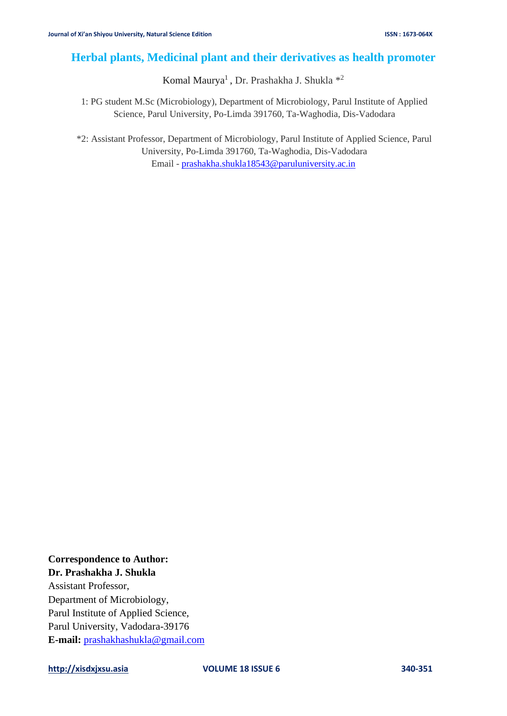# **Herbal plants, Medicinal plant and their derivatives as health promoter**

Komal Maurya<sup>1</sup>, Dr. Prashakha J. Shukla \*<sup>2</sup>

1: PG student M.Sc (Microbiology), Department of Microbiology, Parul Institute of Applied Science, Parul University, Po-Limda 391760, Ta-Waghodia, Dis-Vadodara

\*2: Assistant Professor, Department of Microbiology, Parul Institute of Applied Science, Parul University, Po-Limda 391760, Ta-Waghodia, Dis-Vadodara Email - [prashakha.shukla18543@paruluniversity.ac.in](mailto:prashakha.shukla18543@paruluniversity.ac.in)

**Correspondence to Author: Dr. Prashakha J. Shukla** Assistant Professor, Department of Microbiology, Parul Institute of Applied Science,

Parul University, Vadodara-39176 **E-mail:** [prashakhashukla@gmail.com](mailto:prashakhashukla@gmail.com)

**[http://xisdxjxsu.asia](http://xisdxjxsu.asia/) VOLUME 18 ISSUE 6 340-351**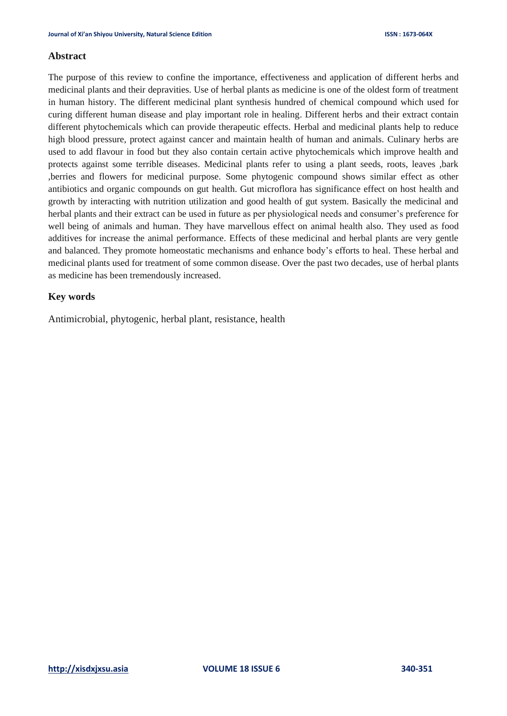### **Abstract**

The purpose of this review to confine the importance, effectiveness and application of different herbs and medicinal plants and their depravities. Use of herbal plants as medicine is one of the oldest form of treatment in human history. The different medicinal plant synthesis hundred of chemical compound which used for curing different human disease and play important role in healing. Different herbs and their extract contain different phytochemicals which can provide therapeutic effects. Herbal and medicinal plants help to reduce high blood pressure, protect against cancer and maintain health of human and animals. Culinary herbs are used to add flavour in food but they also contain certain active phytochemicals which improve health and protects against some terrible diseases. Medicinal plants refer to using a plant seeds, roots, leaves ,bark ,berries and flowers for medicinal purpose. Some phytogenic compound shows similar effect as other antibiotics and organic compounds on gut health. Gut microflora has significance effect on host health and growth by interacting with nutrition utilization and good health of gut system. Basically the medicinal and herbal plants and their extract can be used in future as per physiological needs and consumer's preference for well being of animals and human. They have marvellous effect on animal health also. They used as food additives for increase the animal performance. Effects of these medicinal and herbal plants are very gentle and balanced. They promote homeostatic mechanisms and enhance body's efforts to heal. These herbal and medicinal plants used for treatment of some common disease. Over the past two decades, use of herbal plants as medicine has been tremendously increased.

### **Key words**

Antimicrobial, phytogenic, herbal plant, resistance, health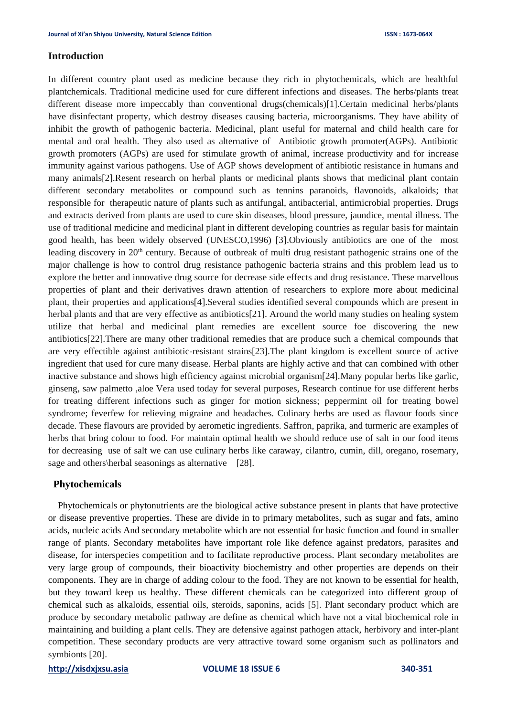### **Introduction**

In different country plant used as medicine because they rich in phytochemicals, which are healthful plantchemicals. Traditional medicine used for cure different infections and diseases. The herbs/plants treat different disease more impeccably than conventional drugs(chemicals)[1].Certain medicinal herbs/plants have disinfectant property, which destroy diseases causing bacteria, microorganisms. They have ability of inhibit the growth of pathogenic bacteria. Medicinal, plant useful for maternal and child health care for mental and oral health. They also used as alternative of Antibiotic growth promoter(AGPs). Antibiotic growth promoters (AGPs) are used for stimulate growth of animal, increase productivity and for increase immunity against various pathogens. Use of AGP shows development of antibiotic resistance in humans and many animals[2].Resent research on herbal plants or medicinal plants shows that medicinal plant contain different secondary metabolites or compound such as tennins paranoids, flavonoids, alkaloids; that responsible for therapeutic nature of plants such as antifungal, antibacterial, antimicrobial properties. Drugs and extracts derived from plants are used to cure skin diseases, blood pressure, jaundice, mental illness. The use of traditional medicine and medicinal plant in different developing countries as regular basis for maintain good health, has been widely observed (UNESCO,1996) [3].Obviously antibiotics are one of the most leading discovery in 20<sup>th</sup> century. Because of outbreak of multi drug resistant pathogenic strains one of the major challenge is how to control drug resistance pathogenic bacteria strains and this problem lead us to explore the better and innovative drug source for decrease side effects and drug resistance. These marvellous properties of plant and their derivatives drawn attention of researchers to explore more about medicinal plant, their properties and applications[4].Several studies identified several compounds which are present in herbal plants and that are very effective as antibiotics[21]. Around the world many studies on healing system utilize that herbal and medicinal plant remedies are excellent source foe discovering the new antibiotics[22].There are many other traditional remedies that are produce such a chemical compounds that are very effectible against antibiotic-resistant strains[23].The plant kingdom is excellent source of active ingredient that used for cure many disease. Herbal plants are highly active and that can combined with other inactive substance and shows high efficiency against microbial organism[24].Many popular herbs like garlic, ginseng, saw palmetto ,aloe Vera used today for several purposes, Research continue for use different herbs for treating different infections such as ginger for motion sickness; peppermint oil for treating bowel syndrome; feverfew for relieving migraine and headaches. Culinary herbs are used as flavour foods since decade. These flavours are provided by aerometic ingredients. Saffron, paprika, and turmeric are examples of herbs that bring colour to food. For maintain optimal health we should reduce use of salt in our food items for decreasing use of salt we can use culinary herbs like caraway, cilantro, cumin, dill, oregano, rosemary, sage and others\herbal seasonings as alternative [28].

### **Phytochemicals**

 Phytochemicals or phytonutrients are the biological active substance present in plants that have protective or disease preventive properties. These are divide in to primary metabolites, such as sugar and fats, amino acids, nucleic acids And secondary metabolite which are not essential for basic function and found in smaller range of plants. Secondary metabolites have important role like defence against predators, parasites and disease, for interspecies competition and to facilitate reproductive process. Plant secondary metabolites are very large group of compounds, their bioactivity biochemistry and other properties are depends on their components. They are in charge of adding colour to the food. They are not known to be essential for health, but they toward keep us healthy. These different chemicals can be categorized into different group of chemical such as alkaloids, essential oils, steroids, saponins, acids [5]. Plant secondary product which are produce by secondary metabolic pathway are define as chemical which have not a vital biochemical role in maintaining and building a plant cells. They are defensive against pathogen attack, herbivory and inter-plant competition. These secondary products are very attractive toward some organism such as pollinators and symbionts [20].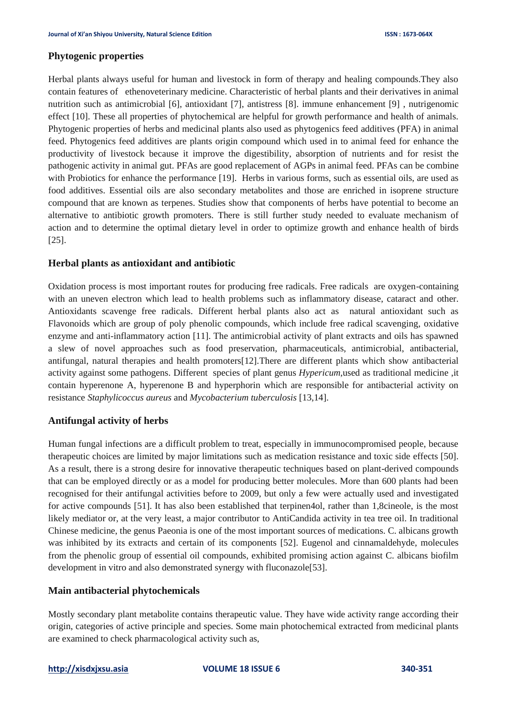### **Phytogenic properties**

Herbal plants always useful for human and livestock in form of therapy and healing compounds.They also contain features of ethenoveterinary medicine. Characteristic of herbal plants and their derivatives in animal nutrition such as antimicrobial [6], antioxidant [7], antistress [8]. immune enhancement [9] , nutrigenomic effect [10]. These all properties of phytochemical are helpful for growth performance and health of animals. Phytogenic properties of herbs and medicinal plants also used as phytogenics feed additives (PFA) in animal feed. Phytogenics feed additives are plants origin compound which used in to animal feed for enhance the productivity of livestock because it improve the digestibility, absorption of nutrients and for resist the pathogenic activity in animal gut. PFAs are good replacement of AGPs in animal feed. PFAs can be combine with Probiotics for enhance the performance [19]. Herbs in various forms, such as essential oils, are used as food additives. Essential oils are also secondary metabolites and those are enriched in isoprene structure compound that are known as terpenes. Studies show that components of herbs have potential to become an alternative to antibiotic growth promoters. There is still further study needed to evaluate mechanism of action and to determine the optimal dietary level in order to optimize growth and enhance health of birds [25].

### **Herbal plants as antioxidant and antibiotic**

Oxidation process is most important routes for producing free radicals. Free radicals are oxygen-containing with an uneven electron which lead to health problems such as inflammatory disease, cataract and other. Antioxidants scavenge free radicals. Different herbal plants also act as natural antioxidant such as Flavonoids which are group of poly phenolic compounds, which include free radical scavenging, oxidative enzyme and anti-inflammatory action [11]. The antimicrobial activity of plant extracts and oils has spawned a slew of novel approaches such as food preservation, pharmaceuticals, antimicrobial, antibacterial, antifungal, natural therapies and health promoters[12].There are different plants which show antibacterial activity against some pathogens. Different species of plant genus *Hypericum,*used as traditional medicine ,it contain hyperenone A, hyperenone B and hyperphorin which are responsible for antibacterial activity on resistance *Staphylicoccus aureus* and *Mycobacterium tuberculosis* [13,14].

### **Antifungal activity of herbs**

Human fungal infections are a difficult problem to treat, especially in immunocompromised people, because therapeutic choices are limited by major limitations such as medication resistance and toxic side effects [50]. As a result, there is a strong desire for innovative therapeutic techniques based on plant-derived compounds that can be employed directly or as a model for producing better molecules. More than 600 plants had been recognised for their antifungal activities before to 2009, but only a few were actually used and investigated for active compounds [51]. It has also been established that terpinen4ol, rather than 1,8cineole, is the most likely mediator or, at the very least, a major contributor to AntiCandida activity in tea tree oil. In traditional Chinese medicine, the genus Paeonia is one of the most important sources of medications. C. albicans growth was inhibited by its extracts and certain of its components [52]. Eugenol and cinnamaldehyde, molecules from the phenolic group of essential oil compounds, exhibited promising action against C. albicans biofilm development in vitro and also demonstrated synergy with fluconazole<sup>[53]</sup>.

### **Main antibacterial phytochemicals**

Mostly secondary plant metabolite contains therapeutic value. They have wide activity range according their origin, categories of active principle and species. Some main photochemical extracted from medicinal plants are examined to check pharmacological activity such as,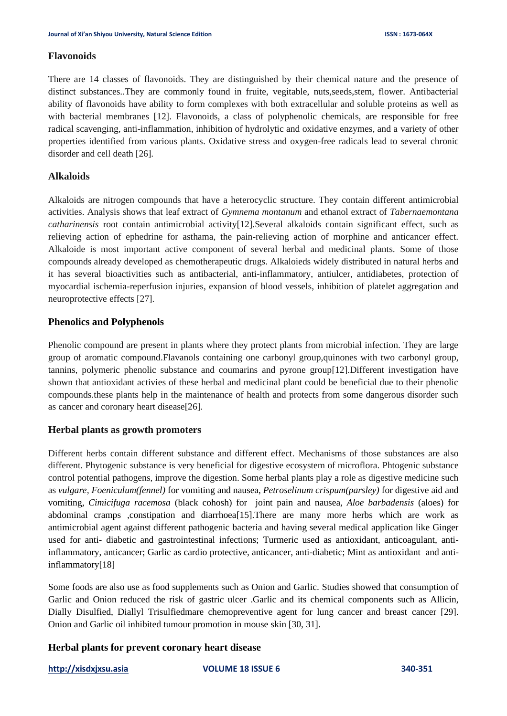### **Flavonoids**

There are 14 classes of flavonoids. They are distinguished by their chemical nature and the presence of distinct substances..They are commonly found in fruite, vegitable, nuts,seeds,stem, flower. Antibacterial ability of flavonoids have ability to form complexes with both extracellular and soluble proteins as well as with bacterial membranes [12]. Flavonoids, a class of polyphenolic chemicals, are responsible for free radical scavenging, anti-inflammation, inhibition of hydrolytic and oxidative enzymes, and a variety of other properties identified from various plants. Oxidative stress and oxygen-free radicals lead to several chronic disorder and cell death [26].

### **Alkaloids**

Alkaloids are nitrogen compounds that have a heterocyclic structure. They contain different antimicrobial activities. Analysis shows that leaf extract of *Gymnema montanum* and ethanol extract of *Tabernaemontana catharinensis* root contain antimicrobial activity[12].Several alkaloids contain significant effect, such as relieving action of ephedrine for asthama, the pain-relieving action of morphine and anticancer effect. Alkaloide is most important active component of several herbal and medicinal plants. Some of those compounds already developed as chemotherapeutic drugs. Alkaloieds widely distributed in natural herbs and it has several bioactivities such as antibacterial, anti-inflammatory, antiulcer, antidiabetes, protection of myocardial ischemia-reperfusion injuries, expansion of blood vessels, inhibition of platelet aggregation and neuroprotective effects [27].

## **Phenolics and Polyphenols**

Phenolic compound are present in plants where they protect plants from microbial infection. They are large group of aromatic compound.Flavanols containing one carbonyl group,quinones with two carbonyl group, tannins, polymeric phenolic substance and coumarins and pyrone group[12].Different investigation have shown that antioxidant activies of these herbal and medicinal plant could be beneficial due to their phenolic compounds.these plants help in the maintenance of health and protects from some dangerous disorder such as cancer and coronary heart disease[26].

### **Herbal plants as growth promoters**

Different herbs contain different substance and different effect. Mechanisms of those substances are also different. Phytogenic substance is very beneficial for digestive ecosystem of microflora. Phtogenic substance control potential pathogens, improve the digestion. Some herbal plants play a role as digestive medicine such as *vulgare, Foeniculum(fennel)* for vomiting and nausea, *Petroselinum crispum(parsley)* for digestive aid and vomiting, *Cimicifuga racemosa* (black cohosh) for joint pain and nausea, *Aloe barbadensis* (aloes) for abdominal cramps ,constipation and diarrhoea[15].There are many more herbs which are work as antimicrobial agent against different pathogenic bacteria and having several medical application like Ginger used for anti- diabetic and gastrointestinal infections; Turmeric used as antioxidant, anticoagulant, antiinflammatory, anticancer; Garlic as cardio protective, anticancer, anti-diabetic; Mint as antioxidant and antiinflammatory[18]

Some foods are also use as food supplements such as Onion and Garlic. Studies showed that consumption of Garlic and Onion reduced the risk of gastric ulcer .Garlic and its chemical components such as Allicin, Dially Disulfied, Diallyl Trisulfiedmare chemopreventive agent for lung cancer and breast cancer [29]. Onion and Garlic oil inhibited tumour promotion in mouse skin [30, 31].

### **Herbal plants for prevent coronary heart disease**

**[http://xisdxjxsu.asia](http://xisdxjxsu.asia/) VOLUME 18 ISSUE 6 340-351**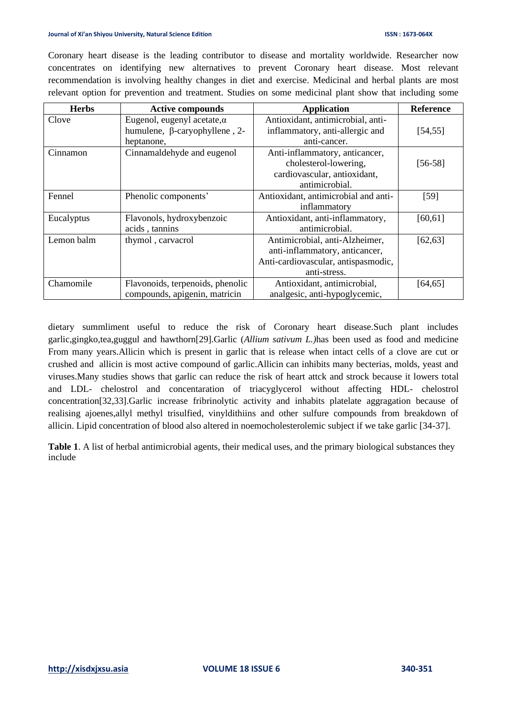#### **Journal of Xi'an Shiyou University, Natural Science Edition ISSN : 1673-064X**

Coronary heart disease is the leading contributor to disease and mortality worldwide. Researcher now concentrates on identifying new alternatives to prevent Coronary heart disease. Most relevant recommendation is involving healthy changes in diet and exercise. Medicinal and herbal plants are most relevant option for prevention and treatment. Studies on some medicinal plant show that including some

| <b>Herbs</b> | <b>Active compounds</b>              | <b>Application</b>                   | <b>Reference</b> |
|--------------|--------------------------------------|--------------------------------------|------------------|
| Clove        | Eugenol, eugenyl acetate, $\alpha$   | Antioxidant, antimicrobial, anti-    |                  |
|              | humulene, $\beta$ -caryophyllene, 2- | inflammatory, anti-allergic and      | [54, 55]         |
|              | heptanone,                           | anti-cancer.                         |                  |
| Cinnamon     | Cinnamaldehyde and eugenol           | Anti-inflammatory, anticancer,       |                  |
|              |                                      | cholesterol-lowering,                | $[56-58]$        |
|              |                                      | cardiovascular, antioxidant,         |                  |
|              |                                      | antimicrobial.                       |                  |
| Fennel       | Phenolic components'                 | Antioxidant, antimicrobial and anti- | $[59]$           |
|              |                                      | inflammatory                         |                  |
| Eucalyptus   | Flavonols, hydroxybenzoic            | Antioxidant, anti-inflammatory,      | [60, 61]         |
|              | acids, tannins                       | antimicrobial.                       |                  |
| Lemon balm   | thymol, carvacrol                    | Antimicrobial, anti-Alzheimer,       | [62, 63]         |
|              |                                      | anti-inflammatory, anticancer,       |                  |
|              |                                      | Anti-cardiovascular, antispasmodic,  |                  |
|              |                                      | anti-stress.                         |                  |
| Chamomile    | Flavonoids, terpenoids, phenolic     | Antioxidant, antimicrobial,          | $[64, 65]$       |
|              | compounds, apigenin, matricin        | analgesic, anti-hypoglycemic,        |                  |

dietary summliment useful to reduce the risk of Coronary heart disease.Such plant includes garlic,gingko,tea,guggul and hawthorn[29].Garlic (*Allium sativum L.)*has been used as food and medicine From many years.Allicin which is present in garlic that is release when intact cells of a clove are cut or crushed and allicin is most active compound of garlic.Allicin can inhibits many becterias, molds, yeast and viruses.Many studies shows that garlic can reduce the risk of heart attck and strock because it lowers total and LDL- chelostrol and concentaration of triacyglycerol without affecting HDL- chelostrol concentration[32,33].Garlic increase fribrinolytic activity and inhabits platelate aggragation because of realising ajoenes,allyl methyl trisulfied, vinyldithiins and other sulfure compounds from breakdown of allicin. Lipid concentration of blood also altered in noemocholesterolemic subject if we take garlic [34-37].

**Table 1**. A list of herbal antimicrobial agents, their medical uses, and the primary biological substances they include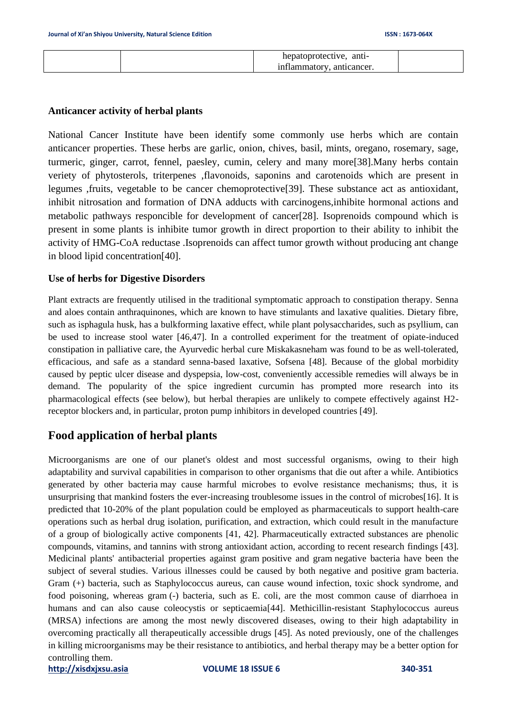|  | . antı-<br>hepatoprotective, |  |
|--|------------------------------|--|
|  | inflammatory.<br>anticancer. |  |

### **Anticancer activity of herbal plants**

National Cancer Institute have been identify some commonly use herbs which are contain anticancer properties. These herbs are garlic, onion, chives, basil, mints, oregano, rosemary, sage, turmeric, ginger, carrot, fennel, paesley, cumin, celery and many more[38].Many herbs contain veriety of phytosterols, triterpenes ,flavonoids, saponins and carotenoids which are present in legumes ,fruits, vegetable to be cancer chemoprotective[39]. These substance act as antioxidant, inhibit nitrosation and formation of DNA adducts with carcinogens,inhibite hormonal actions and metabolic pathways responcible for development of cancer[28]. Isoprenoids compound which is present in some plants is inhibite tumor growth in direct proportion to their ability to inhibit the activity of HMG-CoA reductase .Isoprenoids can affect tumor growth without producing ant change in blood lipid concentration[40].

### **Use of herbs for Digestive Disorders**

Plant extracts are frequently utilised in the traditional symptomatic approach to constipation therapy. Senna and aloes contain anthraquinones, which are known to have stimulants and laxative qualities. Dietary fibre, such as isphagula husk, has a bulkforming laxative effect, while plant polysaccharides, such as psyllium, can be used to increase stool water [46,47]. In a controlled experiment for the treatment of opiate-induced constipation in palliative care, the Ayurvedic herbal cure Miskakasneham was found to be as well-tolerated, efficacious, and safe as a standard senna-based laxative, Sofsena [48]. Because of the global morbidity caused by peptic ulcer disease and dyspepsia, low-cost, conveniently accessible remedies will always be in demand. The popularity of the spice ingredient curcumin has prompted more research into its pharmacological effects (see below), but herbal therapies are unlikely to compete effectively against H2 receptor blockers and, in particular, proton pump inhibitors in developed countries [49].

# **Food application of herbal plants**

Microorganisms are one of our planet's oldest and most successful organisms, owing to their high adaptability and survival capabilities in comparison to other organisms that die out after a while. Antibiotics generated by other bacteria may cause harmful microbes to evolve resistance mechanisms; thus, it is unsurprising that mankind fosters the ever-increasing troublesome issues in the control of microbes[16]. It is predicted that 10-20% of the plant population could be employed as pharmaceuticals to support health-care operations such as herbal drug isolation, purification, and extraction, which could result in the manufacture of a group of biologically active components [41, 42]. Pharmaceutically extracted substances are phenolic compounds, vitamins, and tannins with strong antioxidant action, according to recent research findings [43]. Medicinal plants' antibacterial properties against gram positive and gram negative bacteria have been the subject of several studies. Various illnesses could be caused by both negative and positive gram bacteria. Gram (+) bacteria, such as Staphylococcus aureus, can cause wound infection, toxic shock syndrome, and food poisoning, whereas gram (-) bacteria, such as E. coli, are the most common cause of diarrhoea in humans and can also cause coleocystis or septicaemia[44]. Methicillin-resistant Staphylococcus aureus (MRSA) infections are among the most newly discovered diseases, owing to their high adaptability in overcoming practically all therapeutically accessible drugs [45]. As noted previously, one of the challenges in killing microorganisms may be their resistance to antibiotics, and herbal therapy may be a better option for controlling them.

**[http://xisdxjxsu.asia](http://xisdxjxsu.asia/) VOLUME 18 ISSUE 6 340-351**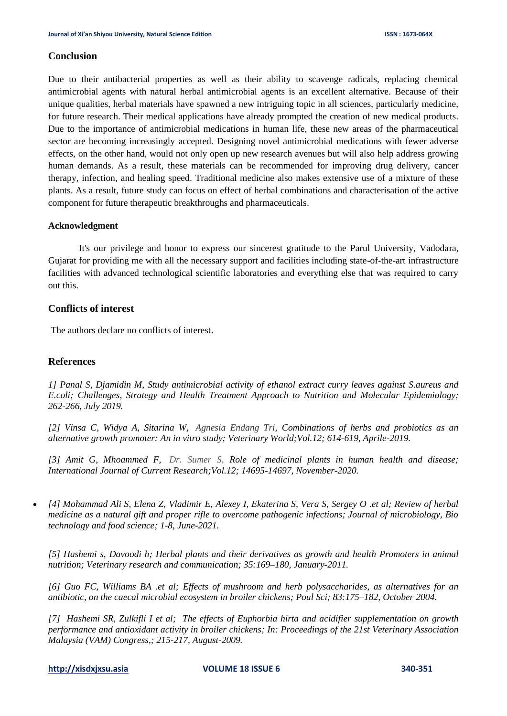### **Conclusion**

Due to their antibacterial properties as well as their ability to scavenge radicals, replacing chemical antimicrobial agents with natural herbal antimicrobial agents is an excellent alternative. Because of their unique qualities, herbal materials have spawned a new intriguing topic in all sciences, particularly medicine, for future research. Their medical applications have already prompted the creation of new medical products. Due to the importance of antimicrobial medications in human life, these new areas of the pharmaceutical sector are becoming increasingly accepted. Designing novel antimicrobial medications with fewer adverse effects, on the other hand, would not only open up new research avenues but will also help address growing human demands. As a result, these materials can be recommended for improving drug delivery, cancer therapy, infection, and healing speed. Traditional medicine also makes extensive use of a mixture of these plants. As a result, future study can focus on effect of herbal combinations and characterisation of the active component for future therapeutic breakthroughs and pharmaceuticals.

### **Acknowledgment**

It's our privilege and honor to express our sincerest gratitude to the Parul University, Vadodara, Gujarat for providing me with all the necessary support and facilities including state-of-the-art infrastructure facilities with advanced technological scientific laboratories and everything else that was required to carry out this.

### **Conflicts of interest**

The authors declare no conflicts of interest.

### **References**

*1] Panal S, Djamidin M, Study antimicrobial activity of ethanol extract curry leaves against S.aureus and E.coli; Challenges, Strategy and Health Treatment Approach to Nutrition and Molecular Epidemiology; 262-266, July 2019.*

*[2] Vinsa C, Widya A, Sitarina W, Agnesia Endang Tri, Combinations of herbs and probiotics as an alternative growth promoter: An in vitro study; Veterinary World;Vol.12; 614-619, Aprile-2019.*

*[3] Amit G, Mhoammed F, Dr. Sumer S, Role of medicinal plants in human health and disease; International Journal of Current Research;Vol.12; 14695-14697, November-2020.*

• *[4] Mohammad Ali S, Elena Z, Vladimir E, Alexey I, Ekaterina S, Vera S, Sergey O .et al; Review of herbal medicine as a natural gift and proper rifle to overcome pathogenic infections; Journal of microbiology, Bio technology and food science; 1-8, June-2021.*

*[5] Hashemi s, Davoodi h; Herbal plants and their derivatives as growth and health Promoters in animal nutrition; Veterinary research and communication; 35:169–180, January-2011.*

*[6] Guo FC, Williams BA .et al; Effects of mushroom and herb polysaccharides, as alternatives for an antibiotic, on the caecal microbial ecosystem in broiler chickens; Poul Sci; 83:175–182, October 2004.*

*[7] Hashemi SR, Zulkifli I et al; The effects of Euphorbia hirta and acidifier supplementation on growth performance and antioxidant activity in broiler chickens; In: Proceedings of the 21st Veterinary Association Malaysia (VAM) Congress,; 215-217, August-2009.*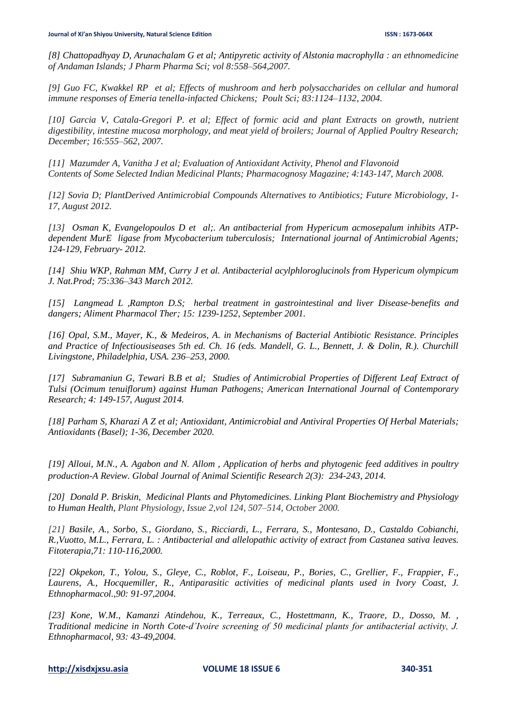*[8] Chattopadhyay D, Arunachalam G et al; Antipyretic activity of Alstonia macrophylla : an ethnomedicine of Andaman Islands; J Pharm Pharma Sci; vol 8:558–564,2007.*

*[9] Guo FC, Kwakkel RP et al; Effects of mushroom and herb polysaccharides on cellular and humoral immune responses of Emeria tenella-infacted Chickens; Poult Sci; 83:1124–1132, 2004.*

*[10] Garcia V, Catala-Gregori P. et al; Effect of formic acid and plant Extracts on growth, nutrient digestibility, intestine mucosa morphology, and meat yield of broilers; Journal of Applied Poultry Research; December; 16:555–562, 2007.*

*[11] Mazumder A, Vanitha J et al; Evaluation of Antioxidant Activity, Phenol and Flavonoid Contents of Some Selected Indian Medicinal Plants; Pharmacognosy Magazine; 4:143-147, March 2008.*

*[12] Sovia D; PlantDerived Antimicrobial Compounds Alternatives to Antibiotics; Future Microbiology, 1- 17, August 2012.*

*[13] Osman K, Evangelopoulos D et al;. An antibacterial from Hypericum acmosepalum inhibits ATPdependent MurE ligase from Mycobacterium tuberculosis; International journal of Antimicrobial Agents; 124-129, February- 2012.*

*[14] Shiu WKP, Rahman MM, Curry J et al. Antibacterial acylphloroglucinols from Hypericum olympicum J. Nat.Prod; 75:336–343 March 2012.*

*[15] Langmead L ,Rampton D.S; herbal treatment in gastrointestinal and liver Disease-benefits and dangers; Aliment Pharmacol Ther; 15: 1239-1252, September 2001.* 

*[16] Opal, S.M., Mayer, K., & Medeiros, A. in Mechanisms of Bacterial Antibiotic Resistance. Principles and Practice of Infectiousiseases 5th ed. Ch. 16 (eds. Mandell, G. L., Bennett, J. & Dolin, R.). Churchill Livingstone, Philadelphia, USA. 236–253, 2000.*

*[17] Subramaniun G, Tewari B.B et al; Studies of Antimicrobial Properties of Different Leaf Extract of Tulsi (Ocimum tenuiflorum) against Human Pathogens; American International Journal of Contemporary Research; 4: 149-157, August 2014.*

*[18] Parham S, Kharazi A Z et al; Antioxidant, Antimicrobial and Antiviral Properties Of Herbal Materials; Antioxidants (Basel); 1-36, December 2020.*

*[19] Alloui, M.N., A. Agabon and N. Allom , Application of herbs and phytogenic feed additives in poultry production-A Review. Global Journal of Animal Scientific Research 2(3): 234-243, 2014.*

*[20] Donald P. Briskin, Medicinal Plants and Phytomedicines. Linking Plant Biochemistry and Physiology to Human Health, Plant Physiology, Issue 2,vol 124, 507–514, October 2000.*

*[21] Basile, A., Sorbo, S., Giordano, S., Ricciardi, L., Ferrara, S., Montesano, D., Castaldo Cobianchi, R.,Vuotto, M.L., Ferrara, L. : Antibacterial and allelopathic activity of extract from Castanea sativa leaves. Fitoterapia,71: 110-116,2000.*

*[22] Okpekon, T., Yolou, S., Gleye, C., Roblot, F., Loiseau, P., Bories, C., Grellier, F., Frappier, F., Laurens, A., Hocquemiller, R., Antiparasitic activities of medicinal plants used in Ivory Coast, J. Ethnopharmacol.,90: 91-97,2004.*

*[23] Kone, W.M., Kamanzi Atindehou, K., Terreaux, C., Hostettmann, K., Traore, D., Dosso, M. , Traditional medicine in North Cote-d'Ivoire screening of 50 medicinal plants for antibacterial activity, J. Ethnopharmacol, 93: 43-49,2004.*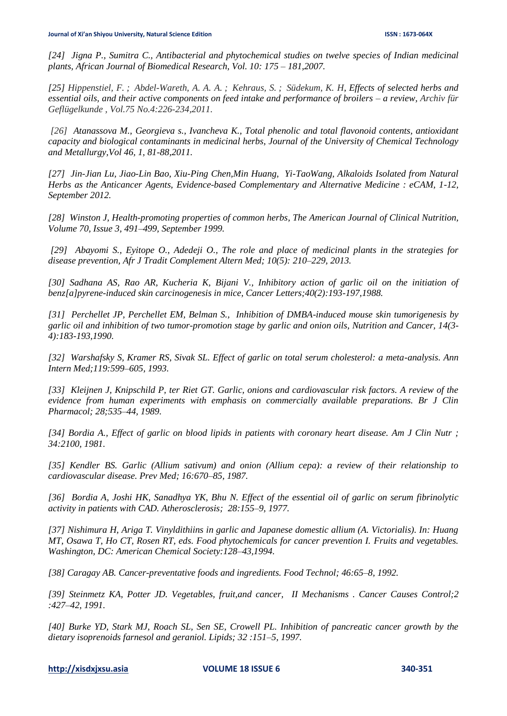*[24] Jigna P., Sumitra C., Antibacterial and phytochemical studies on twelve species of Indian medicinal plants, African Journal of Biomedical Research, Vol. 10: 175 – 181,2007.*

*[25] [Hippenstiel, F.](https://www.cabdirect.org/cabdirect/search/?q=au%3a%22Hippenstiel%2c+F.%22) ; [Abdel-Wareth, A. A. A.](https://www.cabdirect.org/cabdirect/search/?q=au%3a%22Abdel-Wareth%2c+A.+A.+A.%22) ; [Kehraus, S.](https://www.cabdirect.org/cabdirect/search/?q=au%3a%22Kehraus%2c+S.%22) ; [Südekum, K. H,](https://www.cabdirect.org/cabdirect/search/?q=au%3a%22S%c3%bcdekum%2c+K.+H.%22) Effects of selected herbs and essential oils, and their active components on feed intake and performance of broilers – a review, [Archiv für](https://www.cabdirect.org/cabdirect/search/?q=do%3a%22Archiv+f%c3%bcr+Gefl%c3%bcgelkunde%22)  [Geflügelkunde](https://www.cabdirect.org/cabdirect/search/?q=do%3a%22Archiv+f%c3%bcr+Gefl%c3%bcgelkunde%22) , Vol.75 No.4:226-234,2011.*

*[26] Atanassova M., Georgieva s., Ivancheva K., Total phenolic and total flavonoid contents, antioxidant capacity and biological contaminants in medicinal herbs, Journal of the University of Chemical Technology and Metallurgy,Vol 46, 1, 81-88,2011.*

*[27] Jin-Jian Lu, Jiao-Lin Bao, Xiu-Ping Chen,Min Huang, Yi-TaoWang, Alkaloids Isolated from Natural Herbs as the Anticancer Agents, Evidence-based Complementary and Alternative Medicine : eCAM, 1-12, September 2012.*

*[28] Winston J, Health-promoting properties of common herbs, The American Journal of Clinical Nutrition, Volume 70, Issue 3, 491–499, September 1999.*

*[29] Abayomi S., Eyitope O., Adedeji O., The role and place of medicinal plants in the strategies for disease prevention, Afr J Tradit Complement Altern Med; 10(5): 210–229, 2013.*

*[30] Sadhana AS, Rao AR, Kucheria K, Bijani V., Inhibitory action of garlic oil on the initiation of benz[a]pyrene-induced skin carcinogenesis in mice, Cancer Letters;40(2):193-197,1988.*

*[31] Perchellet JP, Perchellet EM, Belman S., Inhibition of DMBA-induced mouse skin tumorigenesis by garlic oil and inhibition of two tumor-promotion stage by garlic and onion oils, Nutrition and Cancer, 14(3- 4):183-193,1990.*

*[32] Warshafsky S, Kramer RS, Sivak SL. Effect of garlic on total serum cholesterol: a meta-analysis. Ann Intern Med;119:599–605, 1993.*

*[33] Kleijnen J, Knipschild P, ter Riet GT. Garlic, onions and cardiovascular risk factors. A review of the evidence from human experiments with emphasis on commercially available preparations. Br J Clin Pharmacol; 28;535–44, 1989.*

*[34] Bordia A., Effect of garlic on blood lipids in patients with coronary heart disease. Am J Clin Nutr ; 34:2100, 1981.*

*[35] Kendler BS. Garlic (Allium sativum) and onion (Allium cepa): a review of their relationship to cardiovascular disease. Prev Med; 16:670–85, 1987.*

*[36] Bordia A, Joshi HK, Sanadhya YK, Bhu N. Effect of the essential oil of garlic on serum fibrinolytic activity in patients with CAD. Atherosclerosis; 28:155–9, 1977.*

*[37] Nishimura H, Ariga T. Vinyldithiins in garlic and Japanese domestic allium (A. Victorialis). In: Huang MT, Osawa T, Ho CT, Rosen RT, eds. Food phytochemicals for cancer prevention I. Fruits and vegetables. Washington, DC: American Chemical Society:128–43,1994.*

*[38] Caragay AB. Cancer-preventative foods and ingredients. Food Technol; 46:65–8, 1992.*

*[39] Steinmetz KA, Potter JD. Vegetables, fruit,and cancer, II Mechanisms . Cancer Causes Control;2 :427–42, 1991.*

*[40] Burke YD, Stark MJ, Roach SL, Sen SE, Crowell PL. Inhibition of pancreatic cancer growth by the dietary isoprenoids farnesol and geraniol. Lipids; 32 :151–5, 1997.*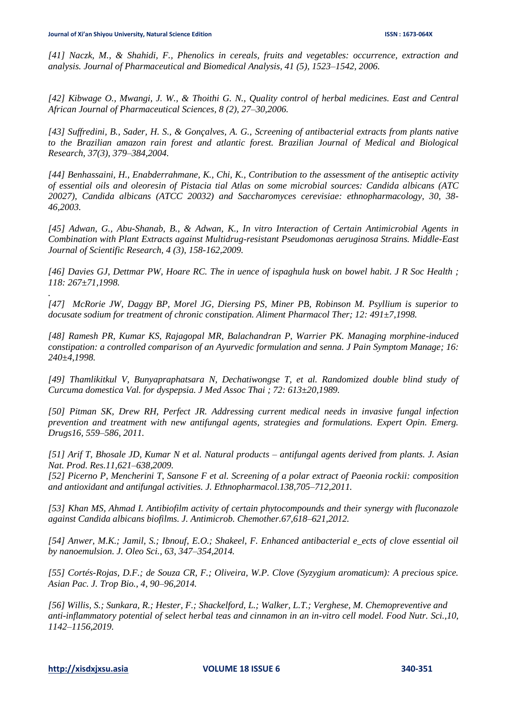*[41] Naczk, M., & Shahidi, F., Phenolics in cereals, fruits and vegetables: occurrence, extraction and analysis. Journal of Pharmaceutical and Biomedical Analysis, 41 (5), 1523–1542, 2006.*

*[42] Kibwage O., Mwangi, J. W., & Thoithi G. N., Quality control of herbal medicines. East and Central African Journal of Pharmaceutical Sciences, 8 (2), 27–30,2006.*

*[43] Suffredini, B., Sader, H. S., & Gonçalves, A. G., Screening of antibacterial extracts from plants native to the Brazilian amazon rain forest and atlantic forest. Brazilian Journal of Medical and Biological Research, 37(3), 379–384,2004.*

*[44] Benhassaini, H., Enabderrahmane, K., Chi, K., Contribution to the assessment of the antiseptic activity of essential oils and oleoresin of Pistacia tial Atlas on some microbial sources: Candida albicans (ATC 20027), Candida albicans (ATCC 20032) and Saccharomyces cerevisiae: ethnopharmacology, 30, 38- 46,2003.*

*[45] Adwan, G., Abu-Shanab, B., & Adwan, K., In vitro Interaction of Certain Antimicrobial Agents in Combination with Plant Extracts against Multidrug-resistant Pseudomonas aeruginosa Strains. Middle-East Journal of Scientific Research, 4 (3), 158-162,2009.*

*[46] Davies GJ, Dettmar PW, Hoare RC. The in uence of ispaghula husk on bowel habit. J R Soc Health ; 118: 267±71,1998.*

*[47] McRorie JW, Daggy BP, Morel JG, Diersing PS, Miner PB, Robinson M. Psyllium is superior to docusate sodium for treatment of chronic constipation. Aliment Pharmacol Ther; 12: 491±7,1998.*

*[48] Ramesh PR, Kumar KS, Rajagopal MR, Balachandran P, Warrier PK. Managing morphine-induced constipation: a controlled comparison of an Ayurvedic formulation and senna. J Pain Symptom Manage; 16: 240±4,1998.*

*[49] Thamlikitkul V, Bunyapraphatsara N, Dechatiwongse T, et al. Randomized double blind study of Curcuma domestica Val. for dyspepsia. J Med Assoc Thai ; 72: 613±20,1989.*

*[50] Pitman SK, Drew RH, Perfect JR. Addressing current medical needs in invasive fungal infection prevention and treatment with new antifungal agents, strategies and formulations. Expert Opin. Emerg. Drugs16, 559–586, 2011.*

*[51] Arif T, Bhosale JD, Kumar N et al. Natural products – antifungal agents derived from plants. J. Asian Nat. Prod. Res.11,621–638,2009.*

*[52] Picerno P, Mencherini T, Sansone F et al. Screening of a polar extract of Paeonia rockii: composition and antioxidant and antifungal activities. J. Ethnopharmacol.138,705–712,2011.*

*[53] Khan MS, Ahmad I. Antibiofilm activity of certain phytocompounds and their synergy with fluconazole against Candida albicans biofilms. J. Antimicrob. Chemother.67,618–621,2012.*

*[54] Anwer, M.K.; Jamil, S.; Ibnouf, E.O.; Shakeel, F. Enhanced antibacterial e\_ects of clove essential oil by nanoemulsion. J. Oleo Sci., 63, 347–354,2014.*

*[55] Cortés-Rojas, D.F.; de Souza CR, F.; Oliveira, W.P. Clove (Syzygium aromaticum): A precious spice. Asian Pac. J. Trop Bio., 4, 90–96,2014.*

*[56] Willis, S.; Sunkara, R.; Hester, F.; Shackelford, L.; Walker, L.T.; Verghese, M. Chemopreventive and anti-inflammatory potential of select herbal teas and cinnamon in an in-vitro cell model. Food Nutr. Sci.,10, 1142–1156,2019.*

*.*